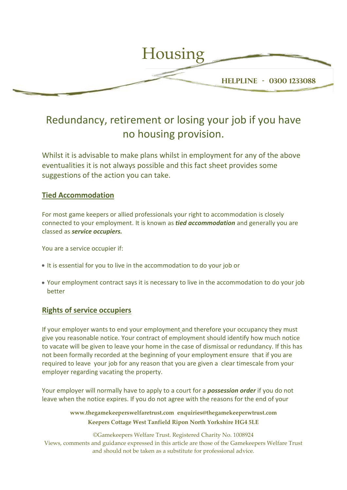

# Redundancy, retirement or losing your job if you have no housing provision.

Whilst it is advisable to make plans whilst in employment for any of the above eventualities it is not always possible and this fact sheet provides some suggestions of the action you can take.

# **Tied Accommodation**

For most game keepers or allied professionals your right to accommodation is closely connected to your employment. It is known as *tied accommodation* and generally you are classed as *service occupiers.*

You are a service occupier if:

- It is essential for you to live in the accommodation to do your job or
- Your employment contract says it is necessary to live in the accommodation to do your job better

# **Rights of service occupiers**

If your employer wants to end your employment and therefore your occupancy they must give you reasonable notice. Your contract of employment should identify how much notice to vacate will be given to leave your home in the case of dismissal or redundancy. If this has not been formally recorded at the beginning of your employment ensure that if you are required to leave your job for any reason that you are given a clear timescale from your employer regarding vacating the property.

Your employer will normally have to apply to a court for a *possession order* if you do not leave when the notice expires. If you do not agree with the reasons for the end of your

> **www.thegamekeeperswelfaretrust.com enquiries@thegamekeeperwtrust.com Keepers Cottage West Tanfield Ripon North Yorkshire HG4 5LE**

©Gamekeepers Welfare Trust. Registered Charity No. 1008924 Views, comments and guidance expressed in this article are those of the Gamekeepers Welfare Trust and should not be taken as a substitute for professional advice.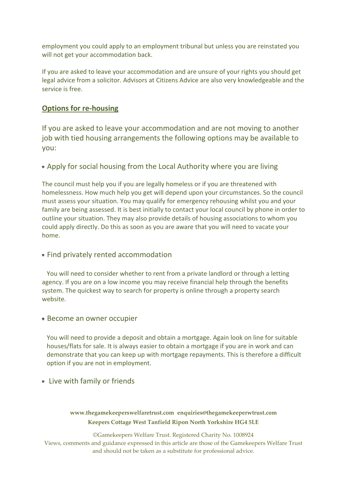employment you could apply to an employment tribunal but unless you are reinstated you will not get your accommodation back.

If you are asked to leave your accommodation and are unsure of your rights you should get legal advice from a solicitor. Advisors at Citizens Advice are also very knowledgeable and the service is free.

# **Options for re-housing**

If you are asked to leave your accommodation and are not moving to another job with tied housing arrangements the following options may be available to you:

## Apply for social housing from the Local Authority where you are living

The council must help you if you are legally homeless or if you are threatened with homelessness. How much help you get will depend upon your circumstances. So the council must assess your situation. You may qualify for emergency rehousing whilst you and your family are being assessed. It is best initially to contact your local council by phone in order to outline your situation. They may also provide details of housing associations to whom you could apply directly. Do this as soon as you are aware that you will need to vacate your home.

### Find privately rented accommodation

 You will need to consider whether to rent from a private landlord or through a letting agency. If you are on a low income you may receive financial help through the benefits system. The quickest way to search for property is online through a property search website.

#### Become an owner occupier

 You will need to provide a deposit and obtain a mortgage. Again look on line for suitable houses/flats for sale. It is always easier to obtain a mortgage if you are in work and can demonstrate that you can keep up with mortgage repayments. This is therefore a difficult option if you are not in employment.

Live with family or friends

#### **www.thegamekeeperswelfaretrust.com enquiries@thegamekeeperwtrust.com Keepers Cottage West Tanfield Ripon North Yorkshire HG4 5LE**

©Gamekeepers Welfare Trust. Registered Charity No. 1008924 Views, comments and guidance expressed in this article are those of the Gamekeepers Welfare Trust and should not be taken as a substitute for professional advice.